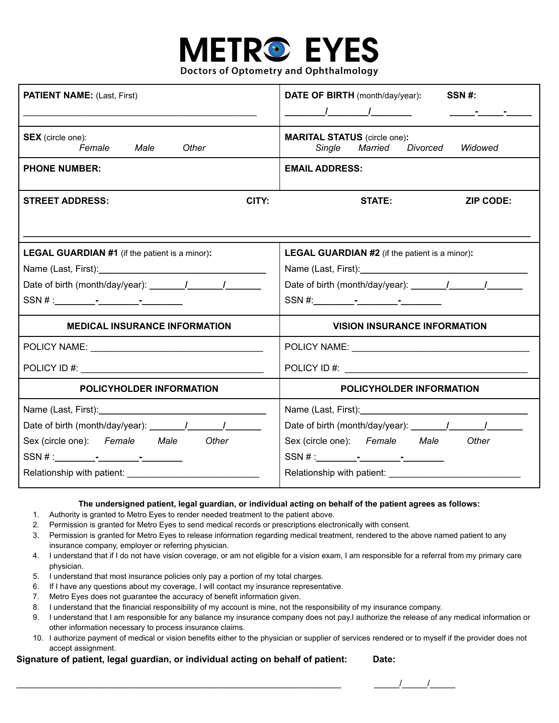

**Doctors of Optometry and Ophthalmology** 

| <b>PATIENT NAME:</b> (Last, First)                                               | DATE OF BIRTH (month/day/year):<br>SSN#:<br>$\frac{1}{2}$ $\frac{1}{2}$ $\frac{1}{2}$ $\frac{1}{2}$ $\frac{1}{2}$ $\frac{1}{2}$ $\frac{1}{2}$ $\frac{1}{2}$ $\frac{1}{2}$ $\frac{1}{2}$ $\frac{1}{2}$ $\frac{1}{2}$ $\frac{1}{2}$ $\frac{1}{2}$ $\frac{1}{2}$ $\frac{1}{2}$ $\frac{1}{2}$ $\frac{1}{2}$ $\frac{1}{2}$ $\frac{1}{2}$ $\frac{1}{2}$ $\frac{1}{2}$<br><u> 1989 - Andrew Standard Barbara, amerikan bisa di sebagai pada 2001. Sebagai pada 2001 - Andrew Standard Barbara</u> |  |  |
|----------------------------------------------------------------------------------|--------------------------------------------------------------------------------------------------------------------------------------------------------------------------------------------------------------------------------------------------------------------------------------------------------------------------------------------------------------------------------------------------------------------------------------------------------------------------------------------|--|--|
| <b>SEX</b> (circle one):<br>Female<br>Male<br>Other                              | <b>MARITAL STATUS</b> (circle one):<br>Single<br>Married<br>Divorced<br>Widowed                                                                                                                                                                                                                                                                                                                                                                                                            |  |  |
| <b>PHONE NUMBER:</b>                                                             | <b>EMAIL ADDRESS:</b>                                                                                                                                                                                                                                                                                                                                                                                                                                                                      |  |  |
| CITY:<br><b>STREET ADDRESS:</b>                                                  | <b>STATE:</b><br><b>ZIP CODE:</b>                                                                                                                                                                                                                                                                                                                                                                                                                                                          |  |  |
|                                                                                  |                                                                                                                                                                                                                                                                                                                                                                                                                                                                                            |  |  |
| <b>LEGAL GUARDIAN #1</b> (if the patient is a minor):                            | <b>LEGAL GUARDIAN #2</b> (if the patient is a minor):                                                                                                                                                                                                                                                                                                                                                                                                                                      |  |  |
|                                                                                  |                                                                                                                                                                                                                                                                                                                                                                                                                                                                                            |  |  |
|                                                                                  |                                                                                                                                                                                                                                                                                                                                                                                                                                                                                            |  |  |
| SSN #:                                                                           |                                                                                                                                                                                                                                                                                                                                                                                                                                                                                            |  |  |
| <b>MEDICAL INSURANCE INFORMATION</b>                                             | <b>VISION INSURANCE INFORMATION</b>                                                                                                                                                                                                                                                                                                                                                                                                                                                        |  |  |
|                                                                                  |                                                                                                                                                                                                                                                                                                                                                                                                                                                                                            |  |  |
|                                                                                  |                                                                                                                                                                                                                                                                                                                                                                                                                                                                                            |  |  |
| <b>POLICYHOLDER INFORMATION</b>                                                  | POLICYHOLDER INFORMATION                                                                                                                                                                                                                                                                                                                                                                                                                                                                   |  |  |
|                                                                                  |                                                                                                                                                                                                                                                                                                                                                                                                                                                                                            |  |  |
| Date of birth (month/day/year): \[\squire{\infty}{2}}___________________________ |                                                                                                                                                                                                                                                                                                                                                                                                                                                                                            |  |  |
| Sex (circle one): Female Male<br>Other                                           | Sex (circle one): Female Male<br>Other                                                                                                                                                                                                                                                                                                                                                                                                                                                     |  |  |
| SSN #:                                                                           |                                                                                                                                                                                                                                                                                                                                                                                                                                                                                            |  |  |
|                                                                                  |                                                                                                                                                                                                                                                                                                                                                                                                                                                                                            |  |  |

## **The undersigned patient, legal guardian, or individual acting on behalf of the patient agrees as follows:**

- 1. Authority is granted to Metro Eyes to render needed treatment to the patient above.
- 2. Permission is granted for Metro Eyes to send medical records or prescriptions electronically with consent.
- 3. Permission is granted for Metro Eyes to release information regarding medical treatment, rendered to the above named patient to any insurance company, employer or referring physician.
- 4. I understand that if I do not have vision coverage, or am not eligible for a vision exam, I am responsible for a referral from my primary care physician.
- 5. I understand that most insurance policies only pay a portion of my total charges.
- 6. If I have any questions about my coverage, I will contact my insurance representative.
- 7. Metro Eyes does not guarantee the accuracy of benefit information given.
- 8. I understand that the financial responsibility of my account is mine, not the responsibility of my insurance company.
- 9. I understand that I am responsible for any balance my insurance company does not pay.I authorize the release of any medical information or other information necessary to process insurance claims.
- 10. I authorize payment of medical or vision benefits either to the physician or supplier of services rendered or to myself if the provider does not accept assignment.

## **Signature of patient, legal guardian, or individual acting on behalf of patient: Date:**